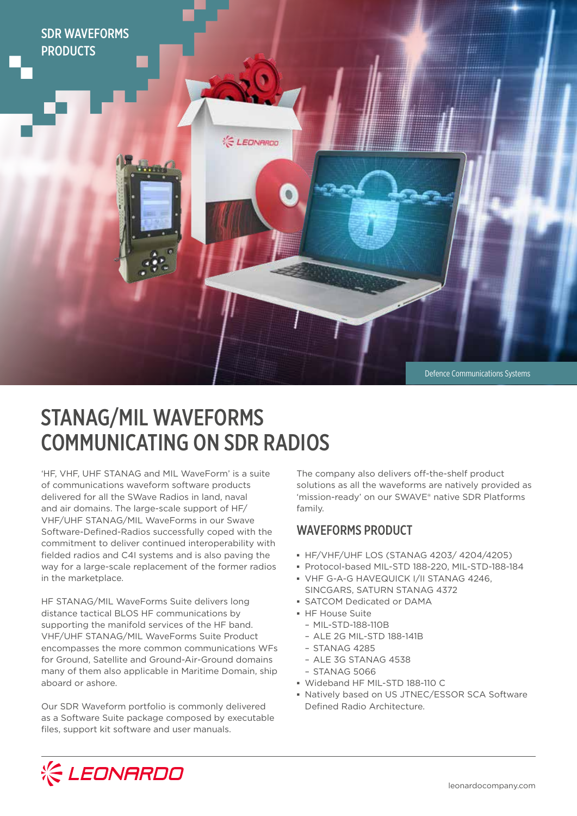

Defence Communications Systems

# STANAG/MIL WAVEFORMS COMMUNICATING ON SDR RADIOS

**LEONARDO** 

'HF, VHF, UHF STANAG and MIL WaveForm' is a suite of communications waveform software products delivered for all the SWave Radios in land, naval and air domains. The large-scale support of HF/ VHF/UHF STANAG/MIL WaveForms in our Swave Software-Defined-Radios successfully coped with the commitment to deliver continued interoperability with fielded radios and C4I systems and is also paving the way for a large-scale replacement of the former radios in the marketplace.

HF STANAG/MIL WaveForms Suite delivers long distance tactical BLOS HF communications by supporting the manifold services of the HF band. VHF/UHF STANAG/MIL WaveForms Suite Product encompasses the more common communications WFs for Ground, Satellite and Ground-Air-Ground domains many of them also applicable in Maritime Domain, ship aboard or ashore.

Our SDR Waveform portfolio is commonly delivered as a Software Suite package composed by executable files, support kit software and user manuals.

The company also delivers off-the-shelf product solutions as all the waveforms are natively provided as 'mission-ready' on our SWAVE® native SDR Platforms family.

### WAVEFORMS PRODUCT

- **▪** HF/VHF/UHF LOS (STANAG 4203/ 4204/4205)
- **▪** Protocol-based MIL-STD 188-220, MIL-STD-188-184
- **▪** VHF G-A-G HAVEQUICK I/II STANAG 4246, SINCGARS, SATURN STANAG 4372
- **▪** SATCOM Dedicated or DAMA
- **▪** HF House Suite
- MIL-STD-188-110B
- ALE 2G MIL-STD 188-141B
- STANAG 4285
- ALE 3G STANAG 4538
- STANAG 5066
- **▪** Wideband HF MIL-STD 188-110 C
- **▪** Natively based on US JTNEC/ESSOR SCA Software Defined Radio Architecture.

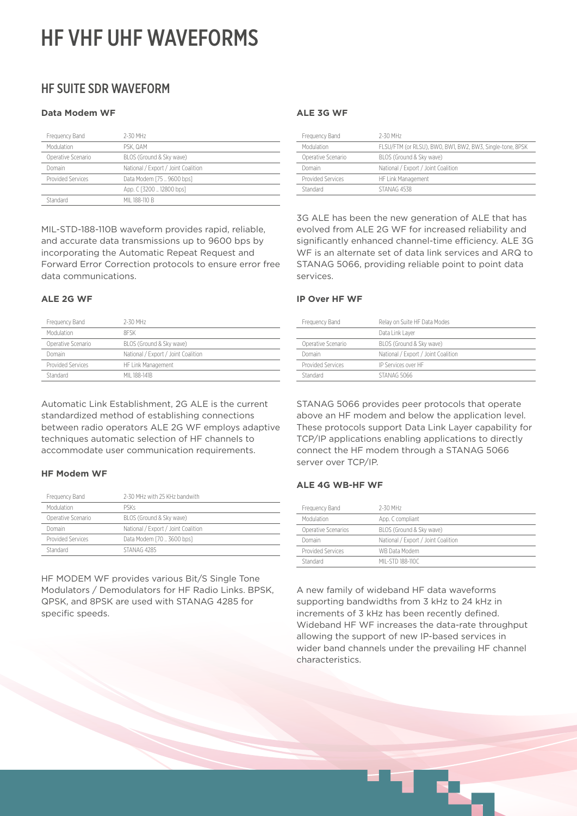## HF VHF UHF WAVEFORMS

### HF SUITE SDR WAVEFORM

### **Data Modem WF**

| Frequency Band     | 2-30 MHz                            |
|--------------------|-------------------------------------|
| Modulation         | PSK. QAM                            |
| Operative Scenario | BLOS (Ground & Sky wave)            |
| Domain             | National / Export / Joint Coalition |
| Provided Services  | Data Modem [75  9600 bps]           |
|                    | App. C [3200  12800 bps]            |
| Standard           | MII 188-110 B                       |

MIL-STD-188-110B waveform provides rapid, reliable, and accurate data transmissions up to 9600 bps by incorporating the Automatic Repeat Request and Forward Error Correction protocols to ensure error free data communications.

#### **ALE 2G WF**

| Frequency Band     | 2-30 MHz                            |
|--------------------|-------------------------------------|
| Modulation         | <b>RESK</b>                         |
| Operative Scenario | BLOS (Ground & Sky wave)            |
| Domain             | National / Export / Joint Coalition |
| Provided Services  | HF Link Management                  |
| Standard           | MII 188-141B                        |

Automatic Link Establishment, 2G ALE is the current standardized method of establishing connections between radio operators ALE 2G WF employs adaptive techniques automatic selection of HF channels to accommodate user communication requirements.

### **HF Modem WF**

| Frequency Band           | 2-30 MHz with 25 KHz bandwith       |
|--------------------------|-------------------------------------|
| Modulation               | <b>PSKs</b>                         |
| Operative Scenario       | BLOS (Ground & Sky wave)            |
| Domain                   | National / Export / Joint Coalition |
| <b>Provided Services</b> | Data Modem [70  3600 bps]           |
| Standard                 | STANAG 4285                         |

HF MODEM WF provides various Bit/S Single Tone Modulators / Demodulators for HF Radio Links. BPSK, QPSK, and 8PSK are used with STANAG 4285 for specific speeds.

### **ALE 3G WF**

| Frequency Band     | 2-30 MHz                                                  |
|--------------------|-----------------------------------------------------------|
| Modulation         | FLSU/FTM (or RLSU), BW0, BW1, BW2, BW3, Single-tone, 8PSK |
| Operative Scenario | BLOS (Ground & Sky wave)                                  |
| Domain             | National / Export / Joint Coalition                       |
| Provided Services  | HF Link Management                                        |
| Standard           | STANAG 4538                                               |

3G ALE has been the new generation of ALE that has evolved from ALE 2G WF for increased reliability and significantly enhanced channel-time efficiency. ALE 3G WF is an alternate set of data link services and ARQ to STANAG 5066, providing reliable point to point data services.

### **IP Over HF WF**

| Frequency Band     | Relay on Suite HF Data Modes        |
|--------------------|-------------------------------------|
|                    | Data Link Laver                     |
| Operative Scenario | BLOS (Ground & Sky wave)            |
| Domain             | National / Export / Joint Coalition |
| Provided Services  | IP Services over HF                 |
| Standard           | STANAG 5066                         |
|                    |                                     |

STANAG 5066 provides peer protocols that operate above an HF modem and below the application level. These protocols support Data Link Layer capability for TCP/IP applications enabling applications to directly connect the HF modem through a STANAG 5066 server over TCP/IP.

### **ALE 4G WB-HF WF**

| Frequency Band      | 2-30 MHz                            |
|---------------------|-------------------------------------|
| Modulation          | App. C compliant                    |
| Operative Scenarios | BLOS (Ground & Sky wave)            |
| Domain              | National / Export / Joint Coalition |
| Provided Services   | WB Data Modem                       |
| Standard            | MII-STD 188-110C                    |

A new family of wideband HF data waveforms supporting bandwidths from 3 kHz to 24 kHz in increments of 3 kHz has been recently defined. Wideband HF WF increases the data-rate throughput allowing the support of new IP-based services in wider band channels under the prevailing HF channel characteristics.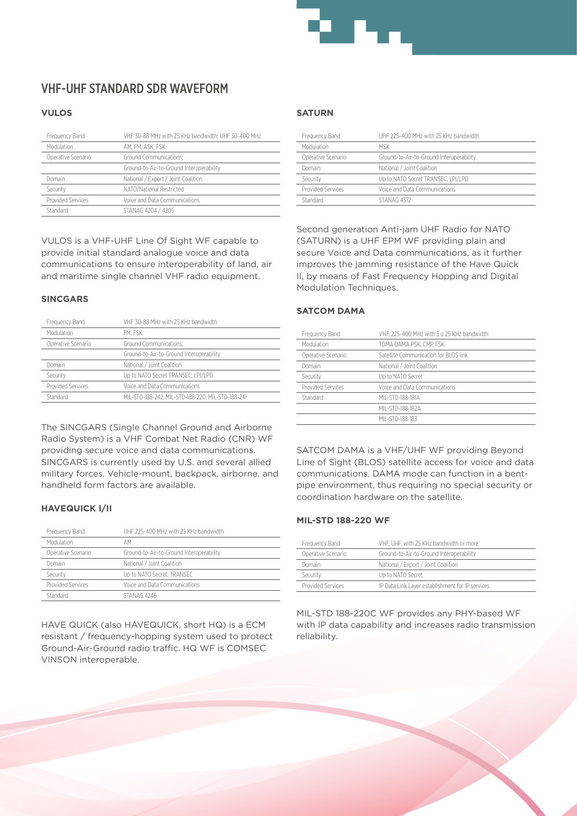

### VHF-UHF STANDARD SDR WAVEFORM

### **VULOS**

| Frequency Band     | VHF 30-88 MHz with 25 KHz bandwidth: UHF 30-400 MHz |
|--------------------|-----------------------------------------------------|
| Modulation         | AM. FM. ASK. FSK                                    |
| Operative Scenario | Ground Communications:                              |
|                    | Ground-to-Air-to-Ground Interoperability            |
| Domain             | National / Export / Joint Coalition                 |
| Security           | NATO/National Restricted                            |
| Provided Services  | Voice and Data Communications                       |
| Standard           | STANAG 4204 / 4205                                  |

VULOS is a VHF-UHF Line Of Sight WF capable to provide initial standard analogue voice and data communications to ensure interoperability of land, air and maritime single channel VHF radio equipment.

#### **SINCGARS**

| Frequency Band     | VHF 30-88 MHz with 25 KHz bandwidth               |
|--------------------|---------------------------------------------------|
| Modulation         | FM. FSK                                           |
| Operative Scenario | Ground Communications:                            |
|                    | Ground-to-Air-to-Ground Interoperability          |
| Domain             | National / Joint Coalition                        |
| Security           | Up to NATO Secret TRANSEC. LPI/LPD                |
| Provided Services  | Voice and Data Communications                     |
| Standard           | MIL-STD-188-242, MIL-STD-188-220, MIL-STD-188-241 |

The SINCGARS (Single Channel Ground and Airborne Radio System) is a VHF Combat Net Radio (CNR) WF providing secure voice and data communications. SINCGARS is currently used by U.S. and several allied military forces. Vehicle-mount, backpack, airborne, and handheld form factors are available.

### **HAVEQUICK I/II**

| Frequency Band     | UHF 225-400 MHz with 25 KHz bandwidth    |
|--------------------|------------------------------------------|
| Modulation         | AМ                                       |
| Operative Scenario | Ground-to-Air-to-Ground Interoperability |
| Domain             | National / Joint Coalition               |
| Security           | Up to NATO Secret: TRANSEC               |
| Provided Services  | Voice and Data Communications            |
| Standard           | STANAG 4246                              |

HAVE QUICK (also HAVEQUICK, short HQ) is a ECM resistant / frequency-hopping system used to protect Ground-Air-Ground radio traffic. HQ WF is COMSEC VINSON interoperable.

### **SATURN**

| UHF 225-400 MHz with 25 KHz bandwidth    |
|------------------------------------------|
| <b>MSK</b>                               |
| Ground-to-Air-to-Ground Interoperability |
| National / Joint Coalition               |
| Up to NATO Secret TRANSEC. LPI/LPD       |
| Voice and Data Communications            |
| STANAG 4372                              |
|                                          |

Second generation Anti-jam UHF Radio for NATO (SATURN) is a UHF EPM WF providing plain and secure Voice and Data communications, as it further improves the jamming resistance of the Have Quick II, by means of Fast Frequency Hopping and Digital Modulation Techniques.

### **SATCOM DAMA**

| Frequency Band     | VHF, 225-400 MHz with 5 o 25 KHz bandwidth |
|--------------------|--------------------------------------------|
| Modulation         | TDMA DAMA PSK. CMP. FSK                    |
| Operative Scenario | Satellite Communication for BLOS link      |
| Domain             | National / Joint Coalition                 |
| Security           | Up to NATO Secret                          |
| Provided Services  | Voice and Data Communications              |
| Standard           | MII-STD-188-181A                           |
|                    | MII-STD-188-182A                           |
|                    | MII-STD-188-183                            |

SATCOM DAMA is a VHF/UHF WF providing Beyond Line of Sight (BLOS) satellite access for voice and data communications. DAMA mode can function in a bentpipe environment, thus requiring no special security or coordination hardware on the satellite.

### **MIL-STD 188-220 WF**

| Frequency Band     | VHF, UHF, with 25 KHz bandwidth or more          |
|--------------------|--------------------------------------------------|
| Operative Scenario | Ground-to-Air-to-Ground Interoperability         |
| Domain             | National / Export / Joint Coalition              |
| Security           | Up to NATO Secret                                |
| Provided Services  | IP Data Link Layer establishment for IP services |

MIL-STD 188-220C WF provides any PHY-based WF with IP data capability and increases radio transmission reliability.